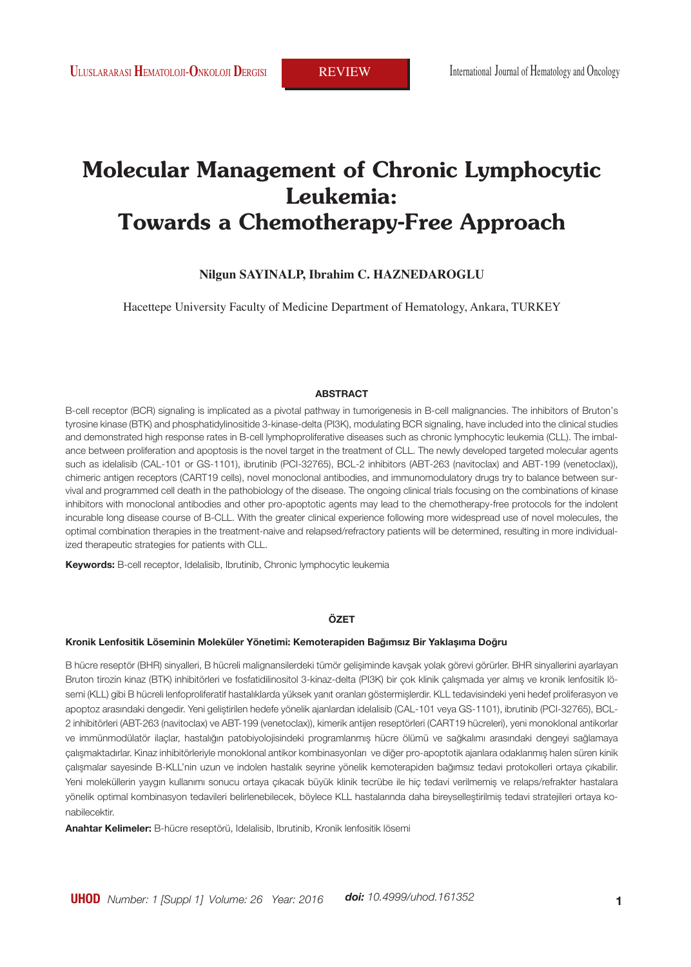# **Molecular Management of Chronic Lymphocytic Leukemia: Towards a Chemotherapy-Free Approach**

### **Nilgun SAYINALP, Ibrahim C. HAZNEDAROGLU**

Hacettepe University Faculty of Medicine Department of Hematology, Ankara, TURKEY

### **ABSTRACT**

B-cell receptor (BCR) signaling is implicated as a pivotal pathway in tumorigenesis in B-cell malignancies. The inhibitors of Bruton's tyrosine kinase (BTK) and phosphatidylinositide 3-kinase-delta (PI3K), modulating BCR signaling, have included into the clinical studies and demonstrated high response rates in B-cell lymphoproliferative diseases such as chronic lymphocytic leukemia (CLL). The imbalance between proliferation and apoptosis is the novel target in the treatment of CLL. The newly developed targeted molecular agents such as idelalisib (CAL-101 or GS-1101), ibrutinib (PCI-32765), BCL-2 inhibitors (ABT-263 (navitoclax) and ABT-199 (venetoclax)), chimeric antigen receptors (CART19 cells), novel monoclonal antibodies, and immunomodulatory drugs try to balance between survival and programmed cell death in the pathobiology of the disease. The ongoing clinical trials focusing on the combinations of kinase inhibitors with monoclonal antibodies and other pro-apoptotic agents may lead to the chemotherapy-free protocols for the indolent incurable long disease course of B-CLL. With the greater clinical experience following more widespread use of novel molecules, the optimal combination therapies in the treatment-naive and relapsed/refractory patients will be determined, resulting in more individualized therapeutic strategies for patients with CLL.

**Keywords:** B-cell receptor, Idelalisib, Ibrutinib, Chronic lymphocytic leukemia

### **ÖZET**

#### **Kronik Lenfositik Löseminin Moleküler Yönetimi: Kemoterapiden Bağımsız Bir Yaklaşıma Doğru**

B hücre reseptör (BHR) sinyalleri, B hücreli malignansilerdeki tümör gelişiminde kavşak yolak görevi görürler. BHR sinyallerini ayarlayan Bruton tirozin kinaz (BTK) inhibitörleri ve fosfatidilinositol 3-kinaz-delta (PI3K) bir çok klinik çalışmada yer almış ve kronik lenfositik lösemi (KLL) gibi B hücreli lenfoproliferatif hastalıklarda yüksek yanıt oranları göstermişlerdir. KLL tedavisindeki yeni hedef proliferasyon ve apoptoz arasındaki dengedir. Yeni geliştirilen hedefe yönelik ajanlardan idelalisib (CAL-101 veya GS-1101), ibrutinib (PCI-32765), BCL-2 inhibitörleri (ABT-263 (navitoclax) ve ABT-199 (venetoclax)), kimerik antijen reseptörleri (CART19 hücreleri), yeni monoklonal antikorlar ve immünmodülatör ilaçlar, hastalığın patobiyolojisindeki programlanmış hücre ölümü ve sağkalımı arasındaki dengeyi sağlamaya çalışmaktadırlar. Kinaz inhibitörleriyle monoklonal antikor kombinasyonları ve diğer pro-apoptotik ajanlara odaklanmış halen süren kinik çalışmalar sayesinde B-KLL'nin uzun ve indolen hastalık seyrine yönelik kemoterapiden bağımsız tedavi protokolleri ortaya çıkabilir. Yeni moleküllerin yaygın kullanımı sonucu ortaya çıkacak büyük klinik tecrübe ile hiç tedavi verilmemiş ve relaps/refrakter hastalara yönelik optimal kombinasyon tedavileri belirlenebilecek, böylece KLL hastalarında daha bireyselleştirilmiş tedavi stratejileri ortaya konabilecektir.

**Anahtar Kelimeler:** B-hücre reseptörü, Idelalisib, Ibrutinib, Kronik lenfositik lösemi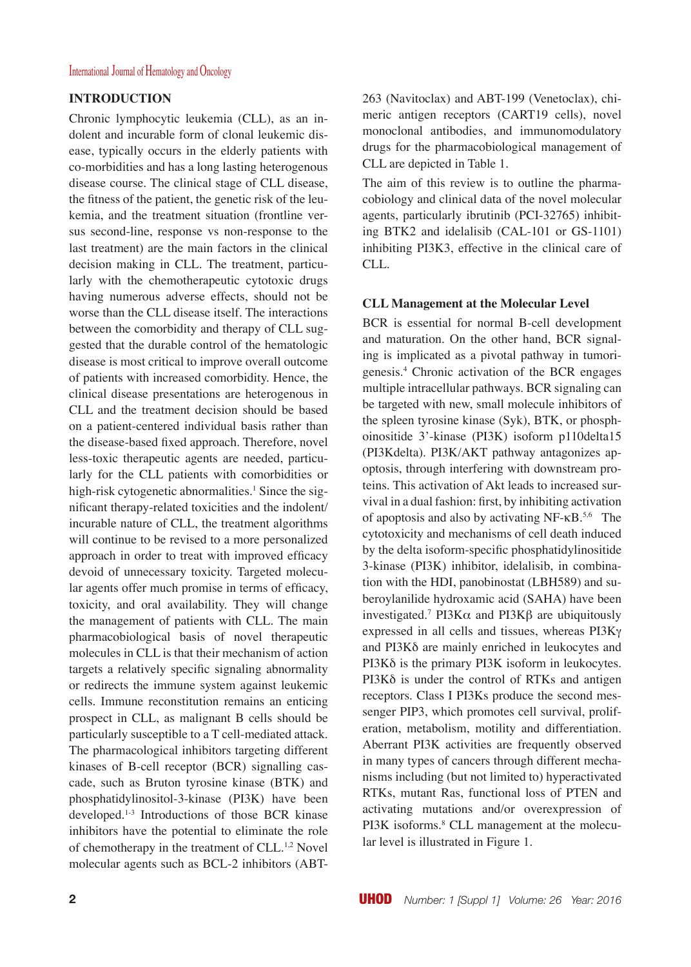# **INTRODUCTION**

Chronic lymphocytic leukemia (CLL), as an indolent and incurable form of clonal leukemic disease, typically occurs in the elderly patients with co-morbidities and has a long lasting heterogenous disease course. The clinical stage of CLL disease, the fitness of the patient, the genetic risk of the leukemia, and the treatment situation (frontline versus second-line, response vs non-response to the last treatment) are the main factors in the clinical decision making in CLL. The treatment, particularly with the chemotherapeutic cytotoxic drugs having numerous adverse effects, should not be worse than the CLL disease itself. The interactions between the comorbidity and therapy of CLL suggested that the durable control of the hematologic disease is most critical to improve overall outcome of patients with increased comorbidity. Hence, the clinical disease presentations are heterogenous in CLL and the treatment decision should be based on a patient-centered individual basis rather than the disease-based fixed approach. Therefore, novel less-toxic therapeutic agents are needed, particularly for the CLL patients with comorbidities or high-risk cytogenetic abnormalities.<sup>1</sup> Since the significant therapy-related toxicities and the indolent/ incurable nature of CLL, the treatment algorithms will continue to be revised to a more personalized approach in order to treat with improved efficacy devoid of unnecessary toxicity. Targeted molecular agents offer much promise in terms of efficacy, toxicity, and oral availability. They will change the management of patients with CLL. The main pharmacobiological basis of novel therapeutic molecules in CLL is that their mechanism of action targets a relatively specific signaling abnormality or redirects the immune system against leukemic cells. Immune reconstitution remains an enticing prospect in CLL, as malignant B cells should be particularly susceptible to a T cell-mediated attack. The pharmacological inhibitors targeting different kinases of B-cell receptor (BCR) signalling cascade, such as Bruton tyrosine kinase (BTK) and phosphatidylinositol-3-kinase (PI3K) have been developed.1-3 Introductions of those BCR kinase inhibitors have the potential to eliminate the role of chemotherapy in the treatment of CLL.<sup>1,2</sup> Novel molecular agents such as BCL-2 inhibitors (ABT- 263 (Navitoclax) and ABT-199 (Venetoclax), chimeric antigen receptors (CART19 cells), novel monoclonal antibodies, and immunomodulatory drugs for the pharmacobiological management of CLL are depicted in Table 1.

The aim of this review is to outline the pharmacobiology and clinical data of the novel molecular agents, particularly ibrutinib (PCI-32765) inhibiting BTK2 and idelalisib (CAL-101 or GS-1101) inhibiting PI3K3, effective in the clinical care of CLL.

### **CLL Management at the Molecular Level**

BCR is essential for normal B-cell development and maturation. On the other hand, BCR signaling is implicated as a pivotal pathway in tumorigenesis.4 Chronic activation of the BCR engages multiple intracellular pathways. BCR signaling can be targeted with new, small molecule inhibitors of the spleen tyrosine kinase (Syk), BTK, or phosphoinositide 3'-kinase (PI3K) isoform p110delta15 (PI3Kdelta). PI3K/AKT pathway antagonizes apoptosis, through interfering with downstream proteins. This activation of Akt leads to increased survival in a dual fashion: first, by inhibiting activation of apoptosis and also by activating  $NF$ - $\kappa B$ <sup>5,6</sup> The cytotoxicity and mechanisms of cell death induced by the delta isoform-specific phosphatidylinositide 3-kinase (PI3K) inhibitor, idelalisib, in combination with the HDI, panobinostat (LBH589) and suberoylanilide hydroxamic acid (SAHA) have been investigated.7 PI3Kα and PI3Kβ are ubiquitously expressed in all cells and tissues, whereas PI3Kγ and PI3Kδ are mainly enriched in leukocytes and PI3Kδ is the primary PI3K isoform in leukocytes. PI3Kδ is under the control of RTKs and antigen receptors. Class I PI3Ks produce the second messenger PIP3, which promotes cell survival, proliferation, metabolism, motility and differentiation. Aberrant PI3K activities are frequently observed in many types of cancers through different mechanisms including (but not limited to) hyperactivated RTKs, mutant Ras, functional loss of PTEN and activating mutations and/or overexpression of PI3K isoforms.<sup>8</sup> CLL management at the molecular level is illustrated in Figure 1.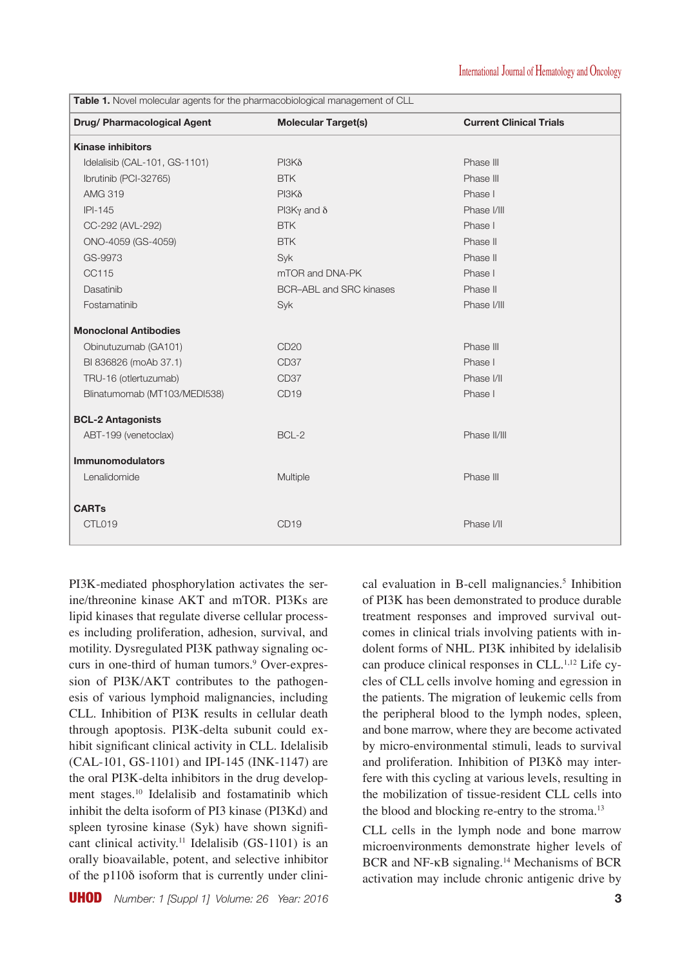| <b>Table 1.</b> Novel molecular agents for the pharmacobiological management of CLL |                                |                                |  |  |  |  |
|-------------------------------------------------------------------------------------|--------------------------------|--------------------------------|--|--|--|--|
| Drug/ Pharmacological Agent                                                         | <b>Molecular Target(s)</b>     | <b>Current Clinical Trials</b> |  |  |  |  |
| <b>Kinase inhibitors</b>                                                            |                                |                                |  |  |  |  |
| Idelalisib (CAL-101, GS-1101)                                                       | $PI3K\delta$                   | Phase III                      |  |  |  |  |
| Ibrutinib (PCI-32765)                                                               | <b>BTK</b>                     | Phase III                      |  |  |  |  |
| <b>AMG 319</b>                                                                      | $PI3K\delta$                   | Phase I                        |  |  |  |  |
| $IPI-145$                                                                           | PI3K $\gamma$ and $\delta$     | Phase I/III                    |  |  |  |  |
| CC-292 (AVL-292)                                                                    | <b>BTK</b>                     | Phase I                        |  |  |  |  |
| ONO-4059 (GS-4059)                                                                  | <b>BTK</b>                     | Phase II                       |  |  |  |  |
| GS-9973                                                                             | Syk                            | Phase II                       |  |  |  |  |
| CC115                                                                               | mTOR and DNA-PK                | Phase I                        |  |  |  |  |
| Dasatinib                                                                           | <b>BCR-ABL and SRC kinases</b> | Phase II                       |  |  |  |  |
| Fostamatinib                                                                        | Syk                            | Phase I/III                    |  |  |  |  |
| <b>Monoclonal Antibodies</b>                                                        |                                |                                |  |  |  |  |
| Obinutuzumab (GA101)                                                                | CD <sub>20</sub>               | Phase III                      |  |  |  |  |
| BI 836826 (moAb 37.1)                                                               | CD <sub>37</sub>               | Phase I                        |  |  |  |  |
| TRU-16 (otlertuzumab)                                                               | CD <sub>37</sub>               | Phase I/II                     |  |  |  |  |
| Blinatumomab (MT103/MEDI538)                                                        | CD <sub>19</sub>               | Phase I                        |  |  |  |  |
| <b>BCL-2 Antagonists</b>                                                            |                                |                                |  |  |  |  |
| ABT-199 (venetoclax)                                                                | BCL-2                          | Phase II/III                   |  |  |  |  |
| <b>Immunomodulators</b>                                                             |                                |                                |  |  |  |  |
| Lenalidomide                                                                        | Multiple                       | Phase III                      |  |  |  |  |
| <b>CARTs</b>                                                                        |                                |                                |  |  |  |  |
| CTL019                                                                              | CD <sub>19</sub>               | Phase I/II                     |  |  |  |  |

PI3K-mediated phosphorylation activates the serine/threonine kinase AKT and mTOR. PI3Ks are lipid kinases that regulate diverse cellular processes including proliferation, adhesion, survival, and motility. Dysregulated PI3K pathway signaling occurs in one-third of human tumors.<sup>9</sup> Over-expression of PI3K/AKT contributes to the pathogenesis of various lymphoid malignancies, including CLL. Inhibition of PI3K results in cellular death through apoptosis. PI3K-delta subunit could exhibit significant clinical activity in CLL. Idelalisib (CAL-101, GS-1101) and IPI-145 (INK-1147) are the oral PI3K-delta inhibitors in the drug development stages.10 Idelalisib and fostamatinib which inhibit the delta isoform of PI3 kinase (PI3Kd) and spleen tyrosine kinase (Syk) have shown significant clinical activity.<sup>11</sup> Idelalisib (GS-1101) is an orally bioavailable, potent, and selective inhibitor of the p110δ isoform that is currently under clini-

cal evaluation in B-cell malignancies.<sup>5</sup> Inhibition of PI3K has been demonstrated to produce durable treatment responses and improved survival outcomes in clinical trials involving patients with indolent forms of NHL. PI3K inhibited by idelalisib can produce clinical responses in CLL.<sup>1,12</sup> Life cycles of CLL cells involve homing and egression in the patients. The migration of leukemic cells from the peripheral blood to the lymph nodes, spleen, and bone marrow, where they are become activated by micro-environmental stimuli, leads to survival and proliferation. Inhibition of PI3Kδ may interfere with this cycling at various levels, resulting in the mobilization of tissue-resident CLL cells into the blood and blocking re-entry to the stroma.<sup>13</sup>

CLL cells in the lymph node and bone marrow microenvironments demonstrate higher levels of BCR and NF-κB signaling.<sup>14</sup> Mechanisms of BCR activation may include chronic antigenic drive by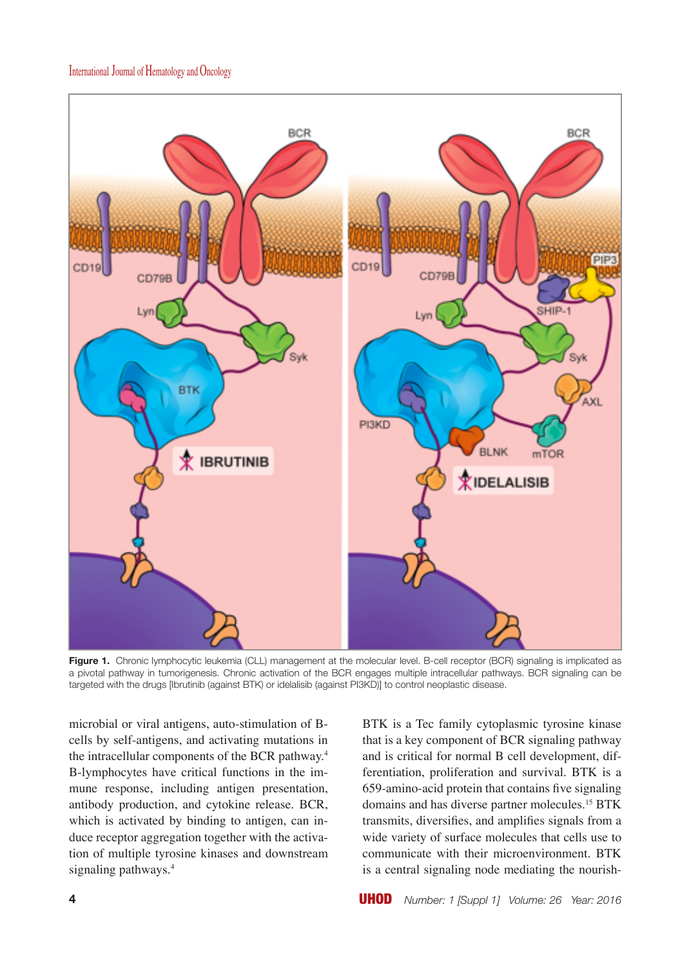

**Figure 1.** Chronic lymphocytic leukemia (CLL) management at the molecular level. B-cell receptor (BCR) signaling is implicated as a pivotal pathway in tumorigenesis. Chronic activation of the BCR engages multiple intracellular pathways. BCR signaling can be targeted with the drugs [Ibrutinib (against BTK) or idelalisib (against PI3KD)] to control neoplastic disease.

microbial or viral antigens, auto-stimulation of Bcells by self-antigens, and activating mutations in the intracellular components of the BCR pathway.4 B-lymphocytes have critical functions in the immune response, including antigen presentation, antibody production, and cytokine release. BCR, which is activated by binding to antigen, can induce receptor aggregation together with the activation of multiple tyrosine kinases and downstream signaling pathways.<sup>4</sup>

BTK is a Tec family cytoplasmic tyrosine kinase that is a key component of BCR signaling pathway and is critical for normal B cell development, differentiation, proliferation and survival. BTK is a 659-amino-acid protein that contains five signaling domains and has diverse partner molecules.<sup>15</sup> BTK transmits, diversifies, and amplifies signals from a wide variety of surface molecules that cells use to communicate with their microenvironment. BTK is a central signaling node mediating the nourish-

**4** UHOD *Number: 1 [Suppl 1] Volume: 26 Year: 2016*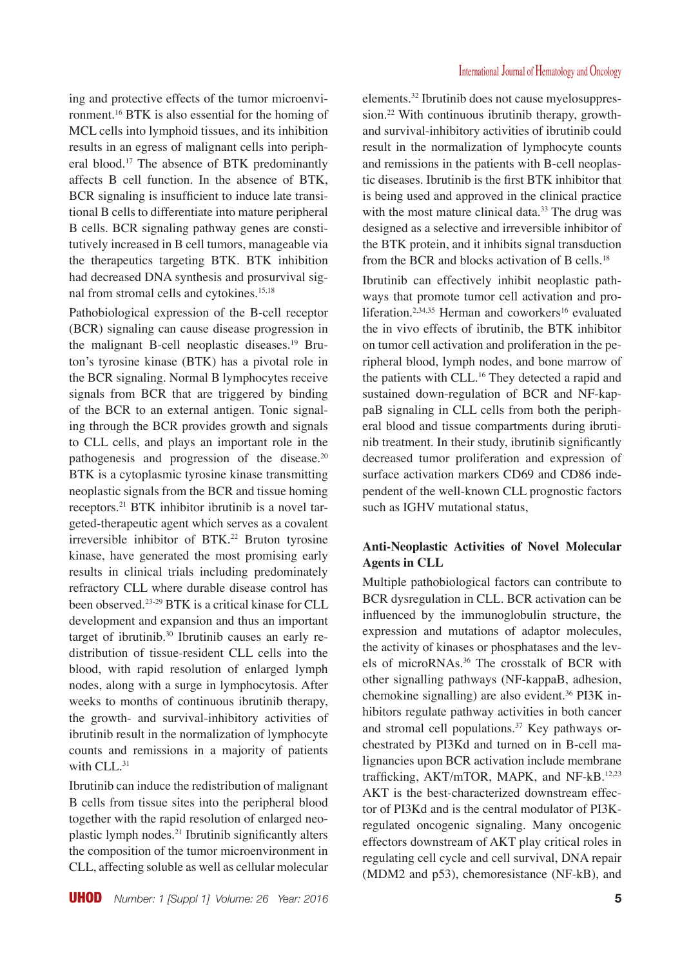ing and protective effects of the tumor microenvironment.16 BTK is also essential for the homing of MCL cells into lymphoid tissues, and its inhibition results in an egress of malignant cells into peripheral blood.17 The absence of BTK predominantly affects B cell function. In the absence of BTK, BCR signaling is insufficient to induce late transitional B cells to differentiate into mature peripheral B cells. BCR signaling pathway genes are constitutively increased in B cell tumors, manageable via the therapeutics targeting BTK. BTK inhibition had decreased DNA synthesis and prosurvival signal from stromal cells and cytokines.15,18

Pathobiological expression of the B-cell receptor (BCR) signaling can cause disease progression in the malignant B-cell neoplastic diseases.19 Bruton's tyrosine kinase (BTK) has a pivotal role in the BCR signaling. Normal B lymphocytes receive signals from BCR that are triggered by binding of the BCR to an external antigen. Tonic signaling through the BCR provides growth and signals to CLL cells, and plays an important role in the pathogenesis and progression of the disease.20 BTK is a cytoplasmic tyrosine kinase transmitting neoplastic signals from the BCR and tissue homing receptors.21 BTK inhibitor ibrutinib is a novel targeted-therapeutic agent which serves as a covalent irreversible inhibitor of BTK.<sup>22</sup> Bruton tyrosine kinase, have generated the most promising early results in clinical trials including predominately refractory CLL where durable disease control has been observed.23-29 BTK is a critical kinase for CLL development and expansion and thus an important target of ibrutinib.30 Ibrutinib causes an early redistribution of tissue-resident CLL cells into the blood, with rapid resolution of enlarged lymph nodes, along with a surge in lymphocytosis. After weeks to months of continuous ibrutinib therapy, the growth- and survival-inhibitory activities of ibrutinib result in the normalization of lymphocyte counts and remissions in a majority of patients with CLL.<sup>31</sup>

Ibrutinib can induce the redistribution of malignant B cells from tissue sites into the peripheral blood together with the rapid resolution of enlarged neoplastic lymph nodes.21 Ibrutinib significantly alters the composition of the tumor microenvironment in CLL, affecting soluble as well as cellular molecular elements.32 Ibrutinib does not cause myelosuppression.<sup>22</sup> With continuous ibrutinib therapy, growthand survival-inhibitory activities of ibrutinib could result in the normalization of lymphocyte counts and remissions in the patients with B-cell neoplastic diseases. Ibrutinib is the first BTK inhibitor that is being used and approved in the clinical practice with the most mature clinical data.<sup>33</sup> The drug was designed as a selective and irreversible inhibitor of the BTK protein, and it inhibits signal transduction from the BCR and blocks activation of B cells.18

Ibrutinib can effectively inhibit neoplastic pathways that promote tumor cell activation and proliferation.<sup>2,34,35</sup> Herman and coworkers<sup>16</sup> evaluated the in vivo effects of ibrutinib, the BTK inhibitor on tumor cell activation and proliferation in the peripheral blood, lymph nodes, and bone marrow of the patients with CLL.<sup>16</sup> They detected a rapid and sustained down-regulation of BCR and NF-kappaB signaling in CLL cells from both the peripheral blood and tissue compartments during ibrutinib treatment. In their study, ibrutinib significantly decreased tumor proliferation and expression of surface activation markers CD69 and CD86 independent of the well-known CLL prognostic factors such as IGHV mutational status,

# **Anti-Neoplastic Activities of Novel Molecular Agents in CLL**

Multiple pathobiological factors can contribute to BCR dysregulation in CLL. BCR activation can be influenced by the immunoglobulin structure, the expression and mutations of adaptor molecules, the activity of kinases or phosphatases and the levels of microRNAs.36 The crosstalk of BCR with other signalling pathways (NF-kappaB, adhesion, chemokine signalling) are also evident.36 PI3K inhibitors regulate pathway activities in both cancer and stromal cell populations.<sup>37</sup> Key pathways orchestrated by PI3Kd and turned on in B-cell malignancies upon BCR activation include membrane trafficking, AKT/mTOR, MAPK, and NF-kB.12,23 AKT is the best-characterized downstream effector of PI3Kd and is the central modulator of PI3Kregulated oncogenic signaling. Many oncogenic effectors downstream of AKT play critical roles in regulating cell cycle and cell survival, DNA repair (MDM2 and p53), chemoresistance (NF-kB), and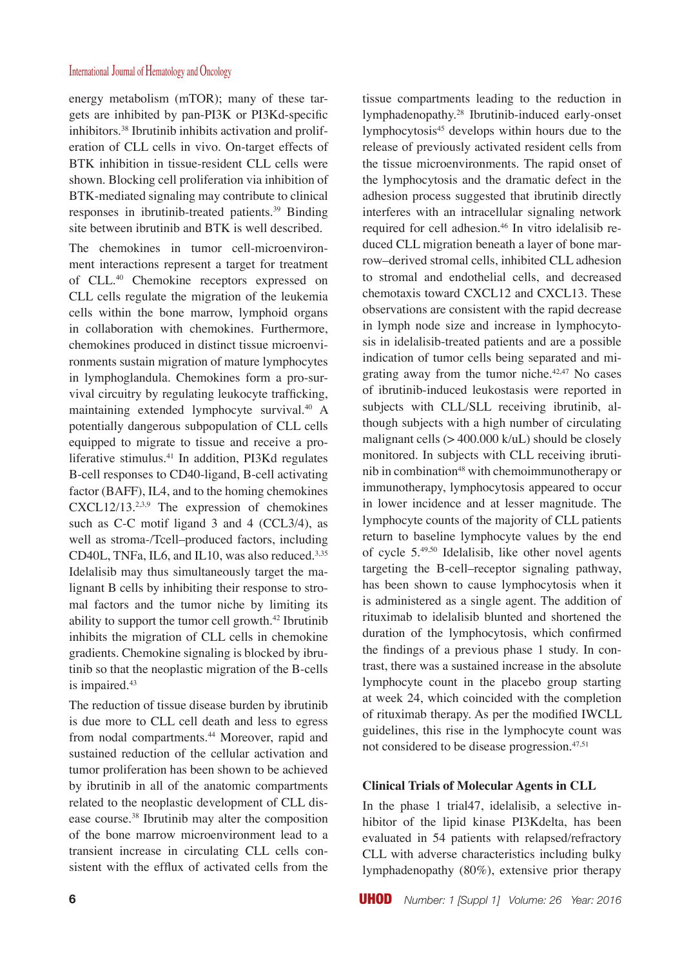energy metabolism (mTOR); many of these targets are inhibited by pan-PI3K or PI3Kd-specific inhibitors.38 Ibrutinib inhibits activation and proliferation of CLL cells in vivo. On-target effects of BTK inhibition in tissue-resident CLL cells were shown. Blocking cell proliferation via inhibition of BTK-mediated signaling may contribute to clinical responses in ibrutinib-treated patients.39 Binding site between ibrutinib and BTK is well described.

The chemokines in tumor cell-microenvironment interactions represent a target for treatment of CLL.40 Chemokine receptors expressed on CLL cells regulate the migration of the leukemia cells within the bone marrow, lymphoid organs in collaboration with chemokines. Furthermore, chemokines produced in distinct tissue microenvironments sustain migration of mature lymphocytes in lymphoglandula. Chemokines form a pro-survival circuitry by regulating leukocyte trafficking, maintaining extended lymphocyte survival.<sup>40</sup> A potentially dangerous subpopulation of CLL cells equipped to migrate to tissue and receive a proliferative stimulus.<sup>41</sup> In addition, PI3Kd regulates B-cell responses to CD40-ligand, B-cell activating factor (BAFF), IL4, and to the homing chemokines  $\text{CXCL12/13.23.9}$  The expression of chemokines such as C-C motif ligand 3 and 4 (CCL3/4), as well as stroma-/Tcell–produced factors, including CD40L, TNFa, IL6, and IL10, was also reduced.<sup>3,35</sup> Idelalisib may thus simultaneously target the malignant B cells by inhibiting their response to stromal factors and the tumor niche by limiting its ability to support the tumor cell growth.42 Ibrutinib inhibits the migration of CLL cells in chemokine gradients. Chemokine signaling is blocked by ibrutinib so that the neoplastic migration of the B-cells is impaired.<sup>43</sup>

The reduction of tissue disease burden by ibrutinib is due more to CLL cell death and less to egress from nodal compartments.<sup>44</sup> Moreover, rapid and sustained reduction of the cellular activation and tumor proliferation has been shown to be achieved by ibrutinib in all of the anatomic compartments related to the neoplastic development of CLL disease course.38 Ibrutinib may alter the composition of the bone marrow microenvironment lead to a transient increase in circulating CLL cells consistent with the efflux of activated cells from the

not considered to be disease progression.47,51

tissue compartments leading to the reduction in lymphadenopathy.28 Ibrutinib-induced early-onset lymphocytosis<sup>45</sup> develops within hours due to the release of previously activated resident cells from the tissue microenvironments. The rapid onset of the lymphocytosis and the dramatic defect in the adhesion process suggested that ibrutinib directly interferes with an intracellular signaling network required for cell adhesion.<sup>46</sup> In vitro idelalisib reduced CLL migration beneath a layer of bone marrow–derived stromal cells, inhibited CLL adhesion to stromal and endothelial cells, and decreased chemotaxis toward CXCL12 and CXCL13. These observations are consistent with the rapid decrease in lymph node size and increase in lymphocytosis in idelalisib-treated patients and are a possible indication of tumor cells being separated and migrating away from the tumor niche.42,47 No cases of ibrutinib-induced leukostasis were reported in subjects with CLL/SLL receiving ibrutinib, although subjects with a high number of circulating malignant cells  $(> 400.000 \text{ k/uL})$  should be closely monitored. In subjects with CLL receiving ibrutinib in combination<sup>48</sup> with chemoimmunotherapy or immunotherapy, lymphocytosis appeared to occur in lower incidence and at lesser magnitude. The lymphocyte counts of the majority of CLL patients return to baseline lymphocyte values by the end of cycle 5.49,50 Idelalisib, like other novel agents targeting the B-cell–receptor signaling pathway, has been shown to cause lymphocytosis when it is administered as a single agent. The addition of rituximab to idelalisib blunted and shortened the duration of the lymphocytosis, which confirmed the findings of a previous phase 1 study. In contrast, there was a sustained increase in the absolute lymphocyte count in the placebo group starting at week 24, which coincided with the completion of rituximab therapy. As per the modified IWCLL guidelines, this rise in the lymphocyte count was

# **Clinical Trials of Molecular Agents in CLL**

In the phase 1 trial47, idelalisib, a selective inhibitor of the lipid kinase PI3Kdelta, has been evaluated in 54 patients with relapsed/refractory CLL with adverse characteristics including bulky lymphadenopathy (80%), extensive prior therapy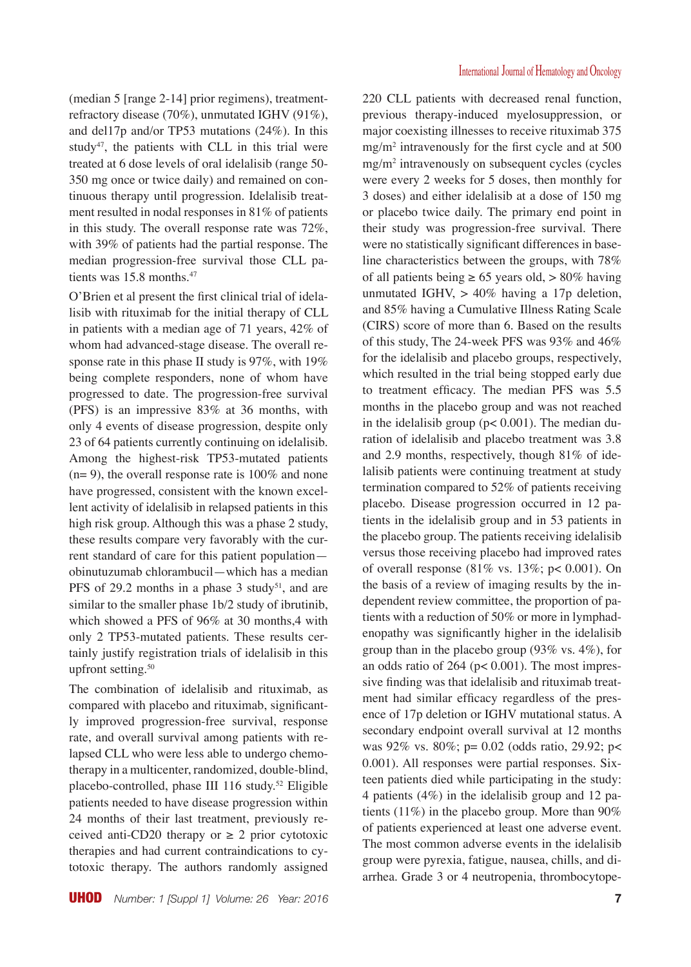(median 5 [range 2-14] prior regimens), treatmentrefractory disease (70%), unmutated IGHV (91%), and del17p and/or TP53 mutations (24%). In this study<sup>47</sup>, the patients with CLL in this trial were treated at 6 dose levels of oral idelalisib (range 50- 350 mg once or twice daily) and remained on continuous therapy until progression. Idelalisib treatment resulted in nodal responses in 81% of patients in this study. The overall response rate was 72%, with 39% of patients had the partial response. The median progression-free survival those CLL patients was 15.8 months.<sup>47</sup>

O'Brien et al present the first clinical trial of idelalisib with rituximab for the initial therapy of CLL in patients with a median age of 71 years, 42% of whom had advanced-stage disease. The overall response rate in this phase II study is 97%, with 19% being complete responders, none of whom have progressed to date. The progression-free survival (PFS) is an impressive 83% at 36 months, with only 4 events of disease progression, despite only 23 of 64 patients currently continuing on idelalisib. Among the highest-risk TP53-mutated patients  $(n= 9)$ , the overall response rate is 100% and none have progressed, consistent with the known excellent activity of idelalisib in relapsed patients in this high risk group. Although this was a phase 2 study, these results compare very favorably with the current standard of care for this patient population obinutuzumab chlorambucil—which has a median PFS of 29.2 months in a phase  $3$  study<sup>51</sup>, and are similar to the smaller phase 1b/2 study of ibrutinib, which showed a PFS of 96% at 30 months,4 with only 2 TP53-mutated patients. These results certainly justify registration trials of idelalisib in this upfront setting.<sup>50</sup>

The combination of idelalisib and rituximab, as compared with placebo and rituximab, significantly improved progression-free survival, response rate, and overall survival among patients with relapsed CLL who were less able to undergo chemotherapy in a multicenter, randomized, double-blind, placebo-controlled, phase III 116 study.<sup>52</sup> Eligible patients needed to have disease progression within 24 months of their last treatment, previously received anti-CD20 therapy or  $\geq$  2 prior cytotoxic therapies and had current contraindications to cytotoxic therapy. The authors randomly assigned

220 CLL patients with decreased renal function, previous therapy-induced myelosuppression, or major coexisting illnesses to receive rituximab 375 mg/m<sup>2</sup> intravenously for the first cycle and at 500 mg/m<sup>2</sup> intravenously on subsequent cycles (cycles were every 2 weeks for 5 doses, then monthly for 3 doses) and either idelalisib at a dose of 150 mg or placebo twice daily. The primary end point in their study was progression-free survival. There were no statistically significant differences in baseline characteristics between the groups, with 78% of all patients being  $\geq 65$  years old,  $> 80\%$  having unmutated IGHV,  $> 40\%$  having a 17p deletion, and 85% having a Cumulative Illness Rating Scale (CIRS) score of more than 6. Based on the results of this study, The 24-week PFS was 93% and 46% for the idelalisib and placebo groups, respectively, which resulted in the trial being stopped early due to treatment efficacy. The median PFS was 5.5 months in the placebo group and was not reached in the idelalisib group ( $p < 0.001$ ). The median duration of idelalisib and placebo treatment was 3.8 and 2.9 months, respectively, though 81% of idelalisib patients were continuing treatment at study termination compared to 52% of patients receiving placebo. Disease progression occurred in 12 patients in the idelalisib group and in 53 patients in the placebo group. The patients receiving idelalisib versus those receiving placebo had improved rates of overall response  $(81\% \text{ vs. } 13\%; \text{ p} < 0.001)$ . On the basis of a review of imaging results by the independent review committee, the proportion of patients with a reduction of 50% or more in lymphadenopathy was significantly higher in the idelalisib group than in the placebo group (93% vs. 4%), for an odds ratio of 264 (p< 0.001). The most impressive finding was that idelalisib and rituximab treatment had similar efficacy regardless of the presence of 17p deletion or IGHV mutational status. A secondary endpoint overall survival at 12 months was 92% vs. 80%; p= 0.02 (odds ratio, 29.92; p< 0.001). All responses were partial responses. Sixteen patients died while participating in the study: 4 patients (4%) in the idelalisib group and 12 patients (11%) in the placebo group. More than 90% of patients experienced at least one adverse event. The most common adverse events in the idelalisib group were pyrexia, fatigue, nausea, chills, and diarrhea. Grade 3 or 4 neutropenia, thrombocytope-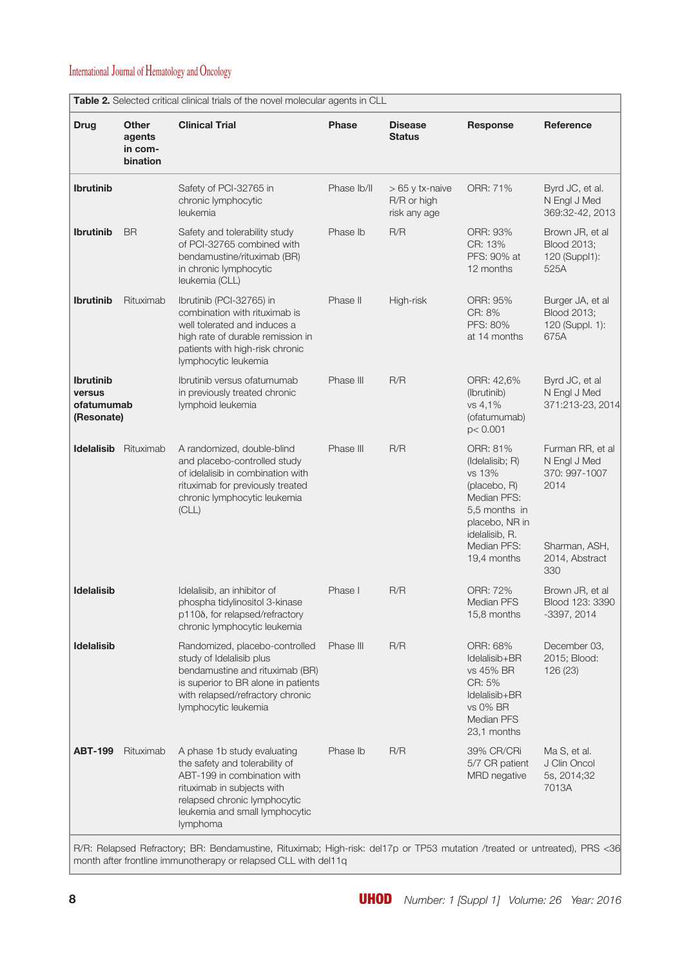| <b>Drug</b>                                            | <b>Other</b><br>agents<br>in com-<br>bination | <b>Clinical Trial</b>                                                                                                                                                                                    | <b>Phase</b> | <b>Disease</b><br><b>Status</b>                 | Response                                                                                                                                                | Reference                                                                                           |
|--------------------------------------------------------|-----------------------------------------------|----------------------------------------------------------------------------------------------------------------------------------------------------------------------------------------------------------|--------------|-------------------------------------------------|---------------------------------------------------------------------------------------------------------------------------------------------------------|-----------------------------------------------------------------------------------------------------|
| <b>Ibrutinib</b>                                       |                                               | Safety of PCI-32765 in<br>chronic lymphocytic<br>leukemia                                                                                                                                                | Phase Ib/II  | $>65$ y tx-naive<br>R/R or high<br>risk any age | ORR: 71%                                                                                                                                                | Byrd JC, et al.<br>N Engl J Med<br>369:32-42, 2013                                                  |
| <b>Ibrutinib</b>                                       | <b>BR</b>                                     | Safety and tolerability study<br>of PCI-32765 combined with<br>bendamustine/rituximab (BR)<br>in chronic lymphocytic<br>leukemia (CLL)                                                                   | Phase Ib     | R/R                                             | ORR: 93%<br>CR: 13%<br>PFS: 90% at<br>12 months                                                                                                         | Brown JR, et al<br><b>Blood 2013:</b><br>120 (Suppl1):<br>525A                                      |
| <b>Ibrutinib</b>                                       | Rituximab                                     | Ibrutinib (PCI-32765) in<br>combination with rituximab is<br>well tolerated and induces a<br>high rate of durable remission in<br>patients with high-risk chronic<br>lymphocytic leukemia                | Phase II     | High-risk                                       | ORR: 95%<br>CR: 8%<br>PFS: 80%<br>at 14 months                                                                                                          | Burger JA, et al<br><b>Blood 2013;</b><br>120 (Suppl. 1):<br>675A                                   |
| <b>Ibrutinib</b><br>versus<br>ofatumumab<br>(Resonate) |                                               | Ibrutinib versus ofatumumab<br>in previously treated chronic<br>lymphoid leukemia                                                                                                                        | Phase III    | R/R                                             | ORR: 42,6%<br>(Ibrutinib)<br>vs 4,1%<br>(ofatumumab)<br>p < 0.001                                                                                       | Byrd JC, et al<br>N Engl J Med<br>371:213-23, 2014                                                  |
| <b>Idelalisib</b>                                      | Rituximab                                     | A randomized, double-blind<br>and placebo-controlled study<br>of idelalisib in combination with<br>rituximab for previously treated<br>chronic lymphocytic leukemia<br>(CLL)                             | Phase III    | R/R                                             | ORR: 81%<br>(Idelalisib; R)<br>vs 13%<br>(placebo, R)<br>Median PFS:<br>5,5 months in<br>placebo, NR in<br>idelalisib, R.<br>Median PFS:<br>19,4 months | Furman RR, et al<br>N Engl J Med<br>370: 997-1007<br>2014<br>Sharman, ASH,<br>2014, Abstract<br>330 |
| <b>Idelalisib</b>                                      |                                               | Idelalisib, an inhibitor of<br>phospha tidylinositol 3-kinase<br>p1108, for relapsed/refractory<br>chronic lymphocytic leukemia                                                                          | Phase I      | R/R                                             | ORR: 72%<br><b>Median PFS</b><br>15,8 months                                                                                                            | Brown JR, et al<br>Blood 123: 3390<br>$-3397, 2014$                                                 |
| <b>Idelalisib</b>                                      |                                               | Randomized, placebo-controlled<br>study of Idelalisib plus<br>bendamustine and rituximab (BR)<br>is superior to BR alone in patients<br>with relapsed/refractory chronic<br>lymphocytic leukemia         | Phase III    | R/R                                             | ORR: 68%<br>Idelalisib+BR<br>vs 45% BR<br>CR: 5%<br>Idelalisib+BR<br>vs 0% BR<br><b>Median PFS</b><br>23,1 months                                       | December 03,<br>2015; Blood:<br>126 (23)                                                            |
| <b>ABT-199</b>                                         | Rituximab                                     | A phase 1b study evaluating<br>the safety and tolerability of<br>ABT-199 in combination with<br>rituximab in subjects with<br>relapsed chronic lymphocytic<br>leukemia and small lymphocytic<br>lymphoma | Phase Ib     | R/R                                             | 39% CR/CRi<br>5/7 CR patient<br><b>MRD</b> negative                                                                                                     | Ma S, et al.<br>J Clin Oncol<br>5s, 2014;32<br>7013A                                                |

R/R: Relapsed Refractory; BR: Bendamustine, Rituximab; High-risk: del17p or TP53 mutation /treated or untreated), PRS <36 month after frontline immunotherapy or relapsed CLL with del11q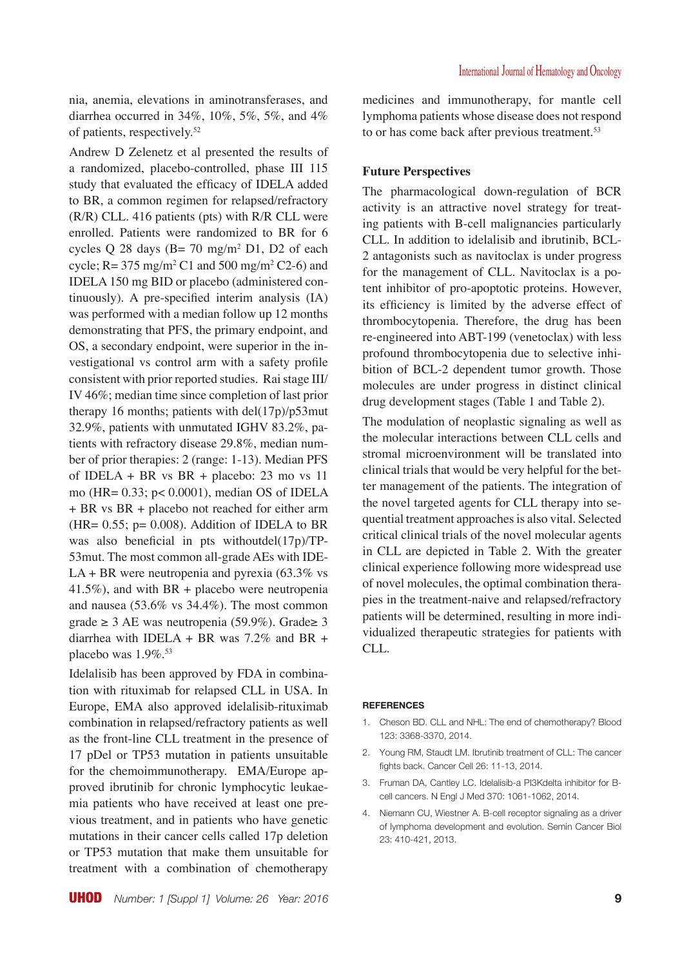nia, anemia, elevations in aminotransferases, and diarrhea occurred in 34%, 10%, 5%, 5%, and 4% of patients, respectively.52

Andrew D Zelenetz et al presented the results of a randomized, placebo-controlled, phase III 115 study that evaluated the efficacy of IDELA added to BR, a common regimen for relapsed/refractory (R/R) CLL. 416 patients (pts) with R/R CLL were enrolled. Patients were randomized to BR for 6 cycles Q 28 days  $(B=70 \text{ mg/m}^2 \text{ D1}, \text{ D2 of each})$ cycle;  $R = 375 \text{ mg/m}^2 \text{ C1}$  and  $500 \text{ mg/m}^2 \text{ C2-6}$ ) and IDELA 150 mg BID or placebo (administered continuously). A pre-specified interim analysis (IA) was performed with a median follow up 12 months demonstrating that PFS, the primary endpoint, and OS, a secondary endpoint, were superior in the investigational vs control arm with a safety profile consistent with prior reported studies. Rai stage III/ IV 46%; median time since completion of last prior therapy 16 months; patients with del(17p)/p53mut 32.9%, patients with unmutated IGHV 83.2%, patients with refractory disease 29.8%, median number of prior therapies: 2 (range: 1-13). Median PFS of IDELA + BR vs  $BR$  + placebo: 23 mo vs 11 mo (HR= 0.33; p< 0.0001), median OS of IDELA + BR vs BR + placebo not reached for either arm  $(HR = 0.55; p = 0.008)$ . Addition of IDELA to BR was also beneficial in pts withoutdel(17p)/TP-53mut. The most common all-grade AEs with IDE- $LA + BR$  were neutropenia and pyrexia (63.3% vs 41.5%), and with BR + placebo were neutropenia and nausea (53.6% vs 34.4%). The most common grade ≥ 3 AE was neutropenia (59.9%). Grade≥ 3 diarrhea with IDELA + BR was  $7.2\%$  and BR + placebo was  $1.9\%$ <sup>53</sup>

Idelalisib has been approved by FDA in combination with rituximab for relapsed CLL in USA. In Europe, EMA also approved idelalisib-rituximab combination in relapsed/refractory patients as well as the front-line CLL treatment in the presence of 17 pDel or TP53 mutation in patients unsuitable for the chemoimmunotherapy. EMA/Europe approved ibrutinib for chronic lymphocytic leukaemia patients who have received at least one previous treatment, and in patients who have genetic mutations in their cancer cells called 17p deletion or TP53 mutation that make them unsuitable for treatment with a combination of chemotherapy medicines and immunotherapy, for mantle cell lymphoma patients whose disease does not respond to or has come back after previous treatment.<sup>53</sup>

### **Future Perspectives**

The pharmacological down-regulation of BCR activity is an attractive novel strategy for treating patients with B-cell malignancies particularly CLL. In addition to idelalisib and ibrutinib, BCL-2 antagonists such as navitoclax is under progress for the management of CLL. Navitoclax is a potent inhibitor of pro-apoptotic proteins. However, its efficiency is limited by the adverse effect of thrombocytopenia. Therefore, the drug has been re-engineered into ABT-199 (venetoclax) with less profound thrombocytopenia due to selective inhibition of BCL-2 dependent tumor growth. Those molecules are under progress in distinct clinical drug development stages (Table 1 and Table 2).

The modulation of neoplastic signaling as well as the molecular interactions between CLL cells and stromal microenvironment will be translated into clinical trials that would be very helpful for the better management of the patients. The integration of the novel targeted agents for CLL therapy into sequential treatment approaches is also vital. Selected critical clinical trials of the novel molecular agents in CLL are depicted in Table 2. With the greater clinical experience following more widespread use of novel molecules, the optimal combination therapies in the treatment-naive and relapsed/refractory patients will be determined, resulting in more individualized therapeutic strategies for patients with CLL.

#### **REFERENCES**

- 1. Cheson BD. CLL and NHL: The end of chemotherapy? Blood 123: 3368-3370, 2014.
- 2. Young RM, Staudt LM. Ibrutinib treatment of CLL: The cancer fights back. Cancer Cell 26: 11-13, 2014.
- 3. Fruman DA, Cantley LC. Idelalisib-a PI3Kdelta inhibitor for Bcell cancers. N Engl J Med 370: 1061-1062, 2014.
- 4. Niemann CU, Wiestner A. B-cell receptor signaling as a driver of lymphoma development and evolution. Semin Cancer Biol 23: 410-421, 2013.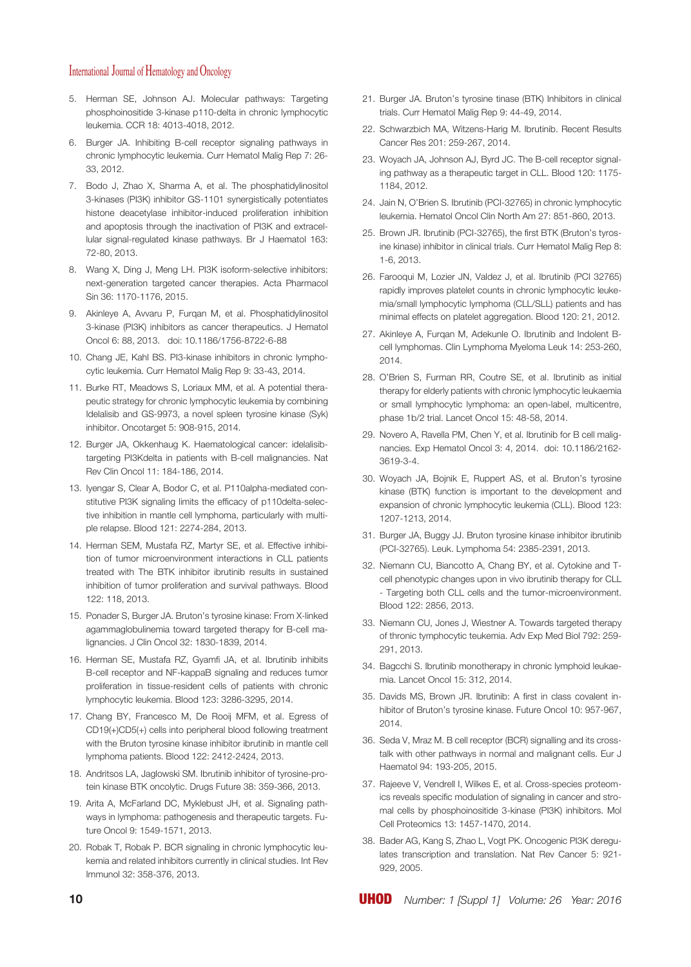- 5. Herman SE, Johnson AJ. Molecular pathways: Targeting phosphoinositide 3-kinase p110-delta in chronic lymphocytic leukemia. CCR 18: 4013-4018, 2012.
- 6. Burger JA. Inhibiting B-cell receptor signaling pathways in chronic lymphocytic leukemia. Curr Hematol Malig Rep 7: 26- 33, 2012.
- 7. Bodo J, Zhao X, Sharma A, et al. The phosphatidylinositol 3-kinases (PI3K) inhibitor GS-1101 synergistically potentiates histone deacetylase inhibitor-induced proliferation inhibition and apoptosis through the inactivation of PI3K and extracellular signal-regulated kinase pathways. Br J Haematol 163: 72-80, 2013.
- 8. Wang X, Ding J, Meng LH. PI3K isoform-selective inhibitors: next-generation targeted cancer therapies. Acta Pharmacol Sin 36: 1170-1176, 2015.
- 9. Akinleye A, Avvaru P, Furqan M, et al. Phosphatidylinositol 3-kinase (PI3K) inhibitors as cancer therapeutics. J Hematol Oncol 6: 88, 2013. doi: 10.1186/1756-8722-6-88
- 10. Chang JE, Kahl BS. PI3-kinase inhibitors in chronic lymphocytic leukemia. Curr Hematol Malig Rep 9: 33-43, 2014.
- 11. Burke RT, Meadows S, Loriaux MM, et al. A potential therapeutic strategy for chronic lymphocytic leukemia by combining Idelalisib and GS-9973, a novel spleen tyrosine kinase (Syk) inhibitor. Oncotarget 5: 908-915, 2014.
- 12. Burger JA, Okkenhaug K. Haematological cancer: idelalisibtargeting PI3Kdelta in patients with B-cell malignancies. Nat Rev Clin Oncol 11: 184-186, 2014.
- 13. Iyengar S, Clear A, Bodor C, et al. P110alpha-mediated constitutive PI3K signaling limits the efficacy of p110delta-selective inhibition in mantle cell lymphoma, particularly with multiple relapse. Blood 121: 2274-284, 2013.
- 14. Herman SEM, Mustafa RZ, Martyr SE, et al. Effective inhibition of tumor microenvironment interactions in CLL patients treated with The BTK inhibitor ibrutinib results in sustained inhibition of tumor proliferation and survival pathways. Blood 122: 118, 2013.
- 15. Ponader S, Burger JA. Bruton's tyrosine kinase: From X-linked agammaglobulinemia toward targeted therapy for B-cell malignancies. J Clin Oncol 32: 1830-1839, 2014.
- 16. Herman SE, Mustafa RZ, Gyamfi JA, et al. Ibrutinib inhibits B-cell receptor and NF-kappaB signaling and reduces tumor proliferation in tissue-resident cells of patients with chronic lymphocytic leukemia. Blood 123: 3286-3295, 2014.
- 17. Chang BY, Francesco M, De Rooij MFM, et al. Egress of CD19(+)CD5(+) cells into peripheral blood following treatment with the Bruton tyrosine kinase inhibitor ibrutinib in mantle cell lymphoma patients. Blood 122: 2412-2424, 2013.
- 18. Andritsos LA, Jaglowski SM. Ibrutinib inhibitor of tyrosine-protein kinase BTK oncolytic. Drugs Future 38: 359-366, 2013.
- 19. Arita A, McFarland DC, Myklebust JH, et al. Signaling pathways in lymphoma: pathogenesis and therapeutic targets. Future Oncol 9: 1549-1571, 2013.
- 20. Robak T, Robak P. BCR signaling in chronic lymphocytic leukemia and related inhibitors currently in clinical studies. Int Rev Immunol 32: 358-376, 2013.
- 21. Burger JA. Bruton's tyrosine tinase (BTK) Inhibitors in clinical trials. Curr Hematol Malig Rep 9: 44-49, 2014.
- 22. Schwarzbich MA, Witzens-Harig M. Ibrutinib. Recent Results Cancer Res 201: 259-267, 2014.
- 23. Woyach JA, Johnson AJ, Byrd JC. The B-cell receptor signaling pathway as a therapeutic target in CLL. Blood 120: 1175- 1184, 2012.
- 24. Jain N, O'Brien S. Ibrutinib (PCI-32765) in chronic lymphocytic leukemia. Hematol Oncol Clin North Am 27: 851-860, 2013.
- 25. Brown JR. Ibrutinib (PCI-32765), the first BTK (Bruton's tyrosine kinase) inhibitor in clinical trials. Curr Hematol Malig Rep 8: 1-6, 2013.
- 26. Farooqui M, Lozier JN, Valdez J, et al. Ibrutinib (PCI 32765) rapidly improves platelet counts in chronic lymphocytic leukemia/small lymphocytic lymphoma (CLL/SLL) patients and has minimal effects on platelet aggregation. Blood 120: 21, 2012.
- 27. Akinleye A, Furqan M, Adekunle O. Ibrutinib and Indolent Bcell lymphomas. Clin Lymphoma Myeloma Leuk 14: 253-260, 2014.
- 28. O'Brien S, Furman RR, Coutre SE, et al. Ibrutinib as initial therapy for elderly patients with chronic lymphocytic leukaemia or small lymphocytic lymphoma: an open-label, multicentre, phase 1b/2 trial. Lancet Oncol 15: 48-58, 2014.
- 29. Novero A, Ravella PM, Chen Y, et al. Ibrutinib for B cell malignancies. Exp Hematol Oncol 3: 4, 2014. doi: 10.1186/2162- 3619-3-4.
- 30. Woyach JA, Bojnik E, Ruppert AS, et al. Bruton's tyrosine kinase (BTK) function is important to the development and expansion of chronic lymphocytic leukemia (CLL). Blood 123: 1207-1213, 2014.
- 31. Burger JA, Buggy JJ. Bruton tyrosine kinase inhibitor ibrutinib (PCI-32765). Leuk. Lymphoma 54: 2385-2391, 2013.
- 32. Niemann CU, Biancotto A, Chang BY, et al. Cytokine and Tcell phenotypic changes upon in vivo ibrutinib therapy for CLL - Targeting both CLL cells and the tumor-microenvironment. Blood 122: 2856, 2013.
- 33. Niemann CU, Jones J, Wiestner A. Towards targeted therapy of thronic tymphocytic teukemia. Adv Exp Med Biol 792: 259- 291, 2013.
- 34. Bagcchi S. Ibrutinib monotherapy in chronic lymphoid leukaemia. Lancet Oncol 15: 312, 2014.
- 35. Davids MS, Brown JR. Ibrutinib: A first in class covalent inhibitor of Bruton's tyrosine kinase. Future Oncol 10: 957-967, 2014.
- 36. Seda V, Mraz M. B cell receptor (BCR) signalling and its crosstalk with other pathways in normal and malignant cells. Eur J Haematol 94: 193-205, 2015.
- 37. Rajeeve V, Vendrell I, Wilkes E, et al. Cross-species proteomics reveals specific modulation of signaling in cancer and stromal cells by phosphoinositide 3-kinase (PI3K) inhibitors. Mol Cell Proteomics 13: 1457-1470, 2014.
- 38. Bader AG, Kang S, Zhao L, Vogt PK. Oncogenic PI3K deregulates transcription and translation. Nat Rev Cancer 5: 921- 929, 2005.